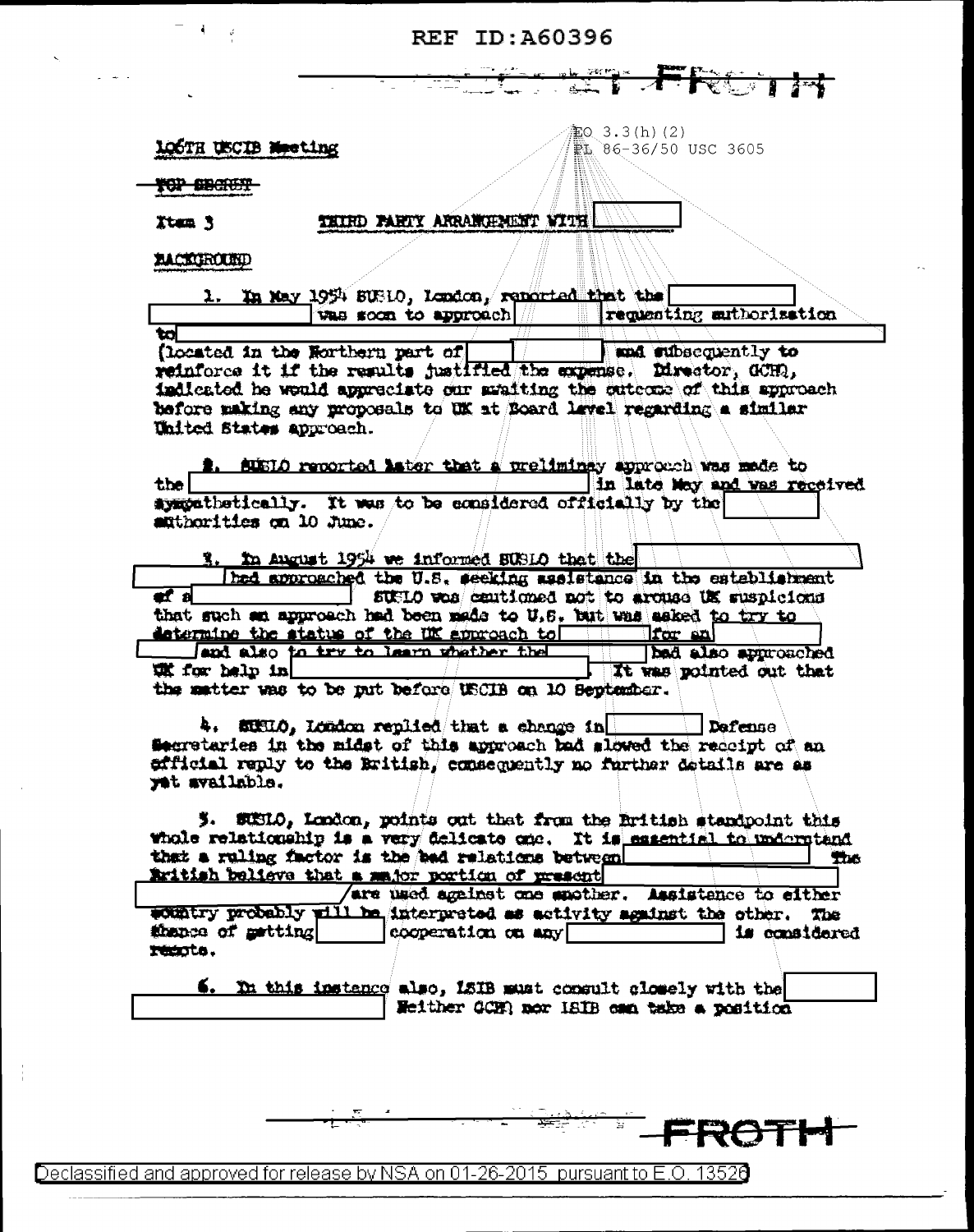## REF ID: A60396

á.

| 106TH USCIB Neeting |  |  |
|---------------------|--|--|
|                     |  |  |

 $20.3.3(h)$  (2) PL 86-36/50 USC 3605

**YOP SBATET** 

THIRD PARTY ARRAINIPMENT WITH

**EACHGROUND** 

Ttem 3

|  |  |  | In May 1954 SUBLO, London, reported that the |  |  |                          |  |
|--|--|--|----------------------------------------------|--|--|--------------------------|--|
|  |  |  | <b>Vas soon to approach</b>                  |  |  | requesting suthorization |  |
|  |  |  |                                              |  |  |                          |  |

(located in the Northern part of and subsequently to reinforce it if the results justified the expense. Director, GCHQ, indicated he would appreciate our avaiting the cutcome of this approach before making any proposals to UK at Board level regarding a similar United States approach.

SUSIO reported later that a preliminay approach was made to in late May and was received the sympathetically. It was to be exneldered officially by the authorities on 10 June.

3. In August 1954 we informed BUSLO that the

had approached the U.S. seeking assistance in the establishment  $\overline{a}$  is a set of  $\overline{a}$ SUMIO was centioned not to arouse UK suspicions that such an approach had been made to U.S. but was asked to try to determine the status of the UK approach to for an

and also to try to learn whather the bad also approached unit for help in It was pointed out that the matter was to be nut before USCIB on 10 September.

4. SIHIO, London replied that a change in Dafense Secretaries in the midst of this approach bad slowed the receipt of an efficial reply to the British, consequently no further details are as yet available.

5. SUSIO, London, points out that from the British standpoint this whole relationship is a very delicate one. It is essential to undergtand that a ruling factor is the had relations between **The** initiah believe that a major portion of present

/are used against one musther. Assistance to either country probably will be interpreted as activity against the other. The thance of metting cooperation on any **is considered** renota.

6. In this instance also, ISIB must consult closely with the Heither GCHR nor ISIB can take a position

Declassified and approved for release by NSA on 01-26-2015 pursuant to E.O. 13526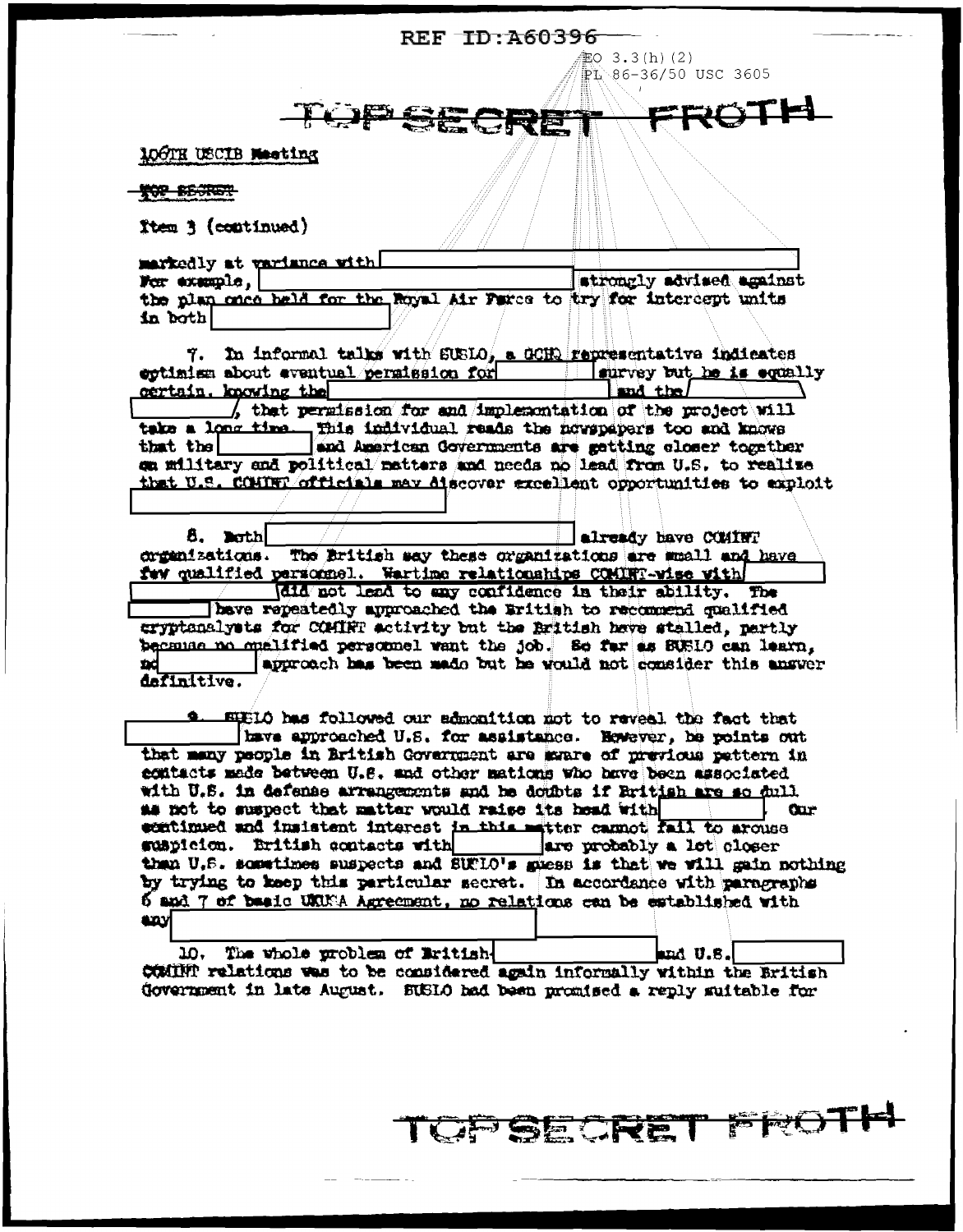REF TD: A60396

EO  $3.3(h)$  (2) PL 86-36/50 USC 3605

ROTH

## 106TH USCIB Meeting

**TOP BESTER** 

Item 3 (continued)

markedly at variance with! For example, strongly advised against the plan once held for the Royal Air Farce to try for intercept units in both

TOPSE

7. In informal talks with SUSLO, a GOHO representative indicates cotinies about aventual persission for a survey but he is equally certain, knowing the  $\left| \right|$  and the  $\left| \right|$ , that permission for and implementation of the project will take a long time... This individual reads the nowspapers too and knows that the and American Governments are getting closer together on military and political matters and needs no lead from U.S. to realize that U.S. CONTRT officials may aiscover excellent opportunities to exploit

8. noth already have COMINT organizations. The British say these organizations are muall and have fwy qualified parzonnel. Wartime relationships COMINT-wise with

did not lead to any confidence in their ability. The have repeatedly approached the Eritish to recommend qualified cryptonalysts for COMIRT activity but the British have stalled, partly because no euclified personnel want the job. So for as SUS10 can learn. approach has been made but he would not consider this answer XX. definitive.

EUELO has followed our admonition not to reveal the fact that tave approached U.S. for assistance. However, be points out that many people in British Government are moare of previous pettern in egatacts made between U.S. and other mations who have been associated with U.S. in defense arrangements and he doubts if British are so dull. as not to suspect that matter would raise its head with **Crime** continued and insistent interest in this matter cannot fail to arouse suspicion. British contacts with sure probably a lot closer than U.S. sometimes suspects and SUFLO's guess is that we will gain nothing by trying to keep this particular secret. In accordance with paragraphs 6 and 7 of basic UKUNA Agreement, no relations can be established with لانته

10. The whole problem of Eritishand  $0.8.$ COMINT relations was to be considered again informally within the British Government in late August. SUSIO had been promised a reply suitable for

UPSECRET FROTH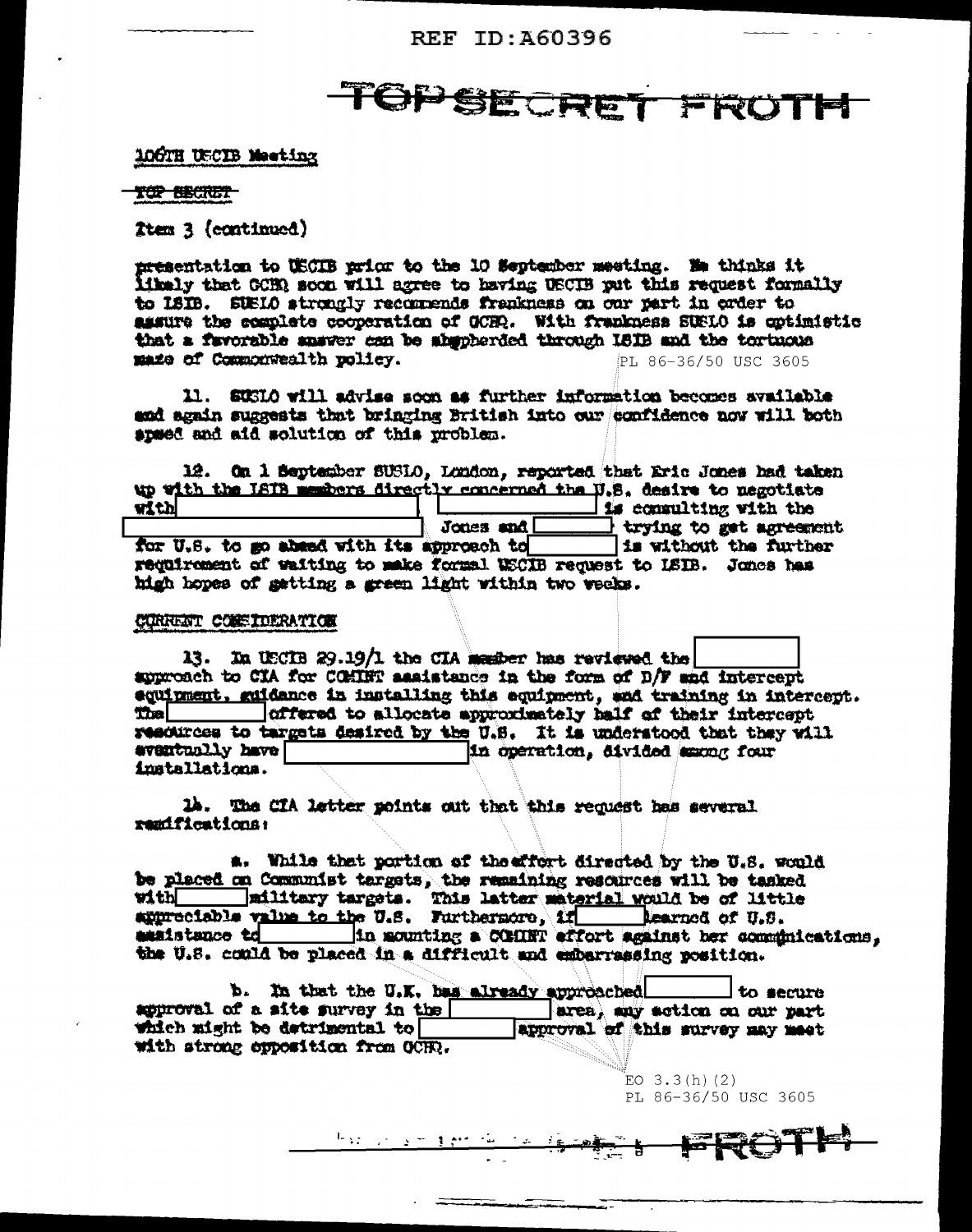REF ID: A60396

# TOPSECRET FROTH

#### 106TH USCIB Meeting

**TOP BECRET** 

Ttem 3 (continued)

<del>nre</del>sentation to USCIB prior to the 10 September meeting. Me thinks it ithely that GCHR soon will agree to having USCIB put this request formally to ISIB. SUBIO strongly recommends frankness on our part in exter to assure the complete cooperation of OCHQ. With frankness SUS10 is optimistic that a favorable answer con be absoberded through ISIB and the tortuous maze of Commonwealth policy. PL 86-36/50 USC 3605

11. SUSIO will advise soon as further information becomes available and again suggests that bringing British into our confidence now will both speed and aid solution of this problem.

12. On 1 September SUSIO, London, reported that Eric Jones had taken up with the ISIB members directly concerned the U.S. desire to negotiate with is consulting with the Jones and  $\Box$ trying to get agreement Is without the further for U.S. to go absed with its approach to requirement of waiting to make formal USCIB request to ISIB. Jones has high hopes of gatting a green light within two weeks.

#### CORRENT CONSIDERATION

13. In USCIB 29.19/1 the CIA member has reviewed the suproach to CIA for COMINT assistance in the form of D/F and intercept equirment, guidance in installing this equipment, and training in intercept. offered to allocate approximately half of their intercept **That** resources to targets desired by the U.S. It is understood that they will eventually have in operation, divided among four installations.

14. The CIA letter points out that this request has several remifications:

a. While that portion of the affort directed by the U.S. would be placed on Communist targets, the remaining resources will be tasked with military targets. This latter material would be of little appreciable value to the U.S. Furthermore, if learned of U.S. maistance to in mounting a COMINT effort against her comminications, the U.S. could be placed in a difficult and embarrassing position.

b. In that the U.K. has already approached l to secure area, any action on our part approval of a site survey in the which might be detrimental to approval of this survey may meet with strong opposition from OCHO.

> $EO$  3.3 $(h)$  (2) PL 86-36/50 USC 3605

 $\frac{1}{2}M_{\rm{BH}} = 2.77 \pm 0.02$ <u>ે ક</u>

 $\overline{\phantom{a}}$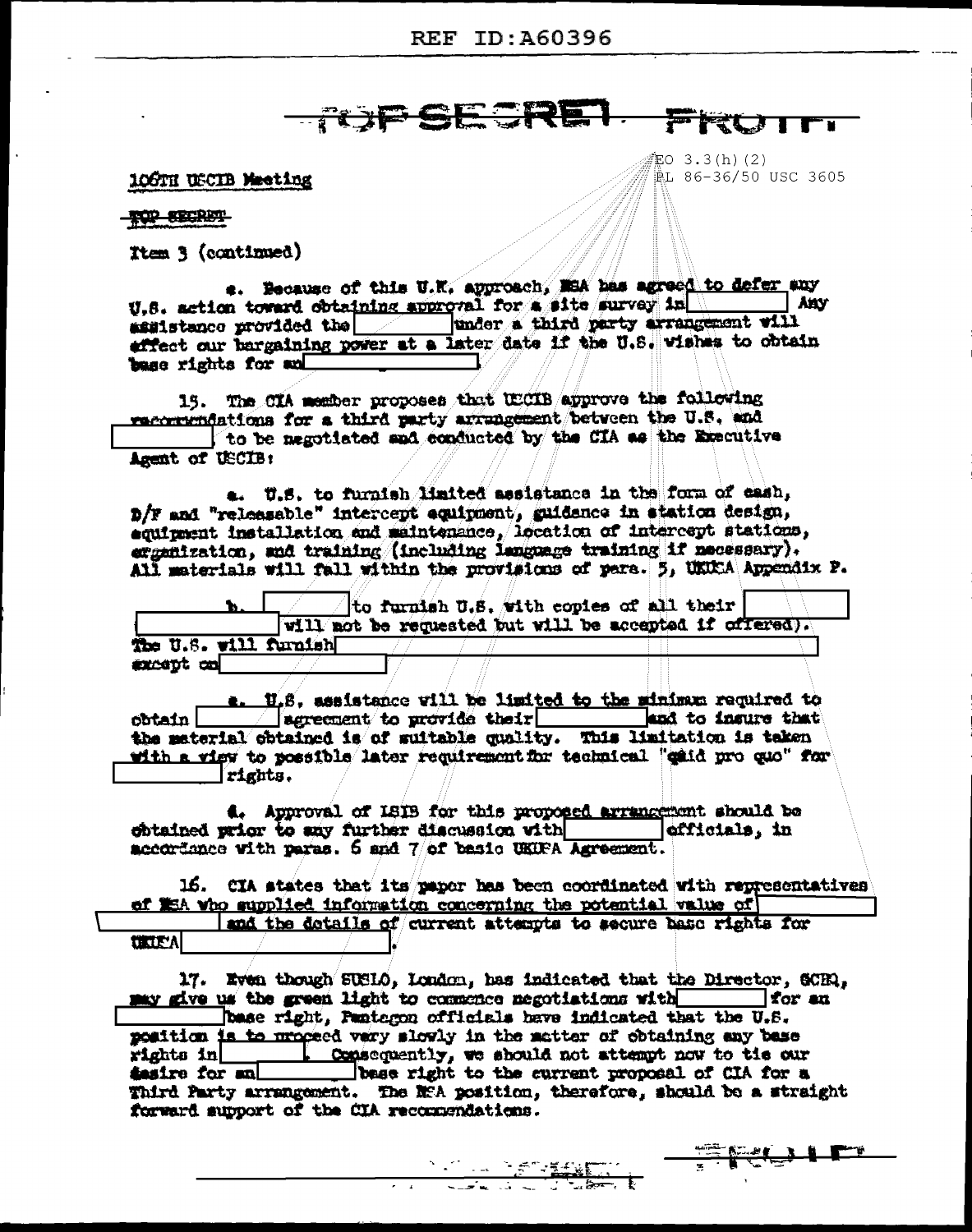### **AND SECRET.** FRU

EO 3.3(h)(2)

iL 86-36/50 USC 3605

**SECULE** 

106TH USCIB Meeting

**TOP SECRET** 

Item 3 (continued)

e. Because of this U.K. approach, MSA has agreed to defer any U.S. action toward obtaining approval for a site survey in **Any** under a third party arrangement will **assistance provided the metallicity** effect our bargaining power at a later date if the U.S. wishes to obtain base rights for an

15. The CIA member proposes that UECIB approve the following recommundations for a third party arrangement between the U.S. and to be negotiated and ecoducted by the CIA as the Executive Agent of USCIB:

a. U.S. to furnish limited assistance in the form of eash, D/F and "releasable" intercept equipment, guidance in station design, equirement installation and maintenance, location of intercept stations, ergenization, and training (including language training if necessary). All materials will fall within the provisions of pers. 5, UKUCA Appendix P.

to furnish U.S. with copies of all their will not be requested but will be accepted if offered). The U.S. will furnish except co

a. U.S. assistance will be limited to the minimum required to | sgreement to provide their | and to insure that obtain l the material obtained is of suitable quality. This limitation is taken with a view to possible later requirement for technical "caid pro quo" for rights.

4. Approval of ISIB for this proposed arrangement should be obtained prior to any further discussion with efficials, in accordance with paras. 6 and 7 of basic UKUFA Agreement.

16. CIA states that its paper has been coordinated with representatives of #5A who supplied information concerning the potential walue of

and the dotails of current attempts to secure base rights for **UKIEA** 

17. Even though SUSIO, London, has indicated that the Director, SCEQ, may give us the green light to commence negotiations with The for an base right, Pantegon officials have indicated that the U.S. position is to proceed vary slowly in the matter of obtaining any base 1. Consequently, we should not attempt now to tis our rights in the form in the same with the corrent proposal of CIA for a Third Party arrangement. The NEA position, therefore, should be a straight forward support of the CIA recommendations.

**NATURAL PERSONAL PROPERTY**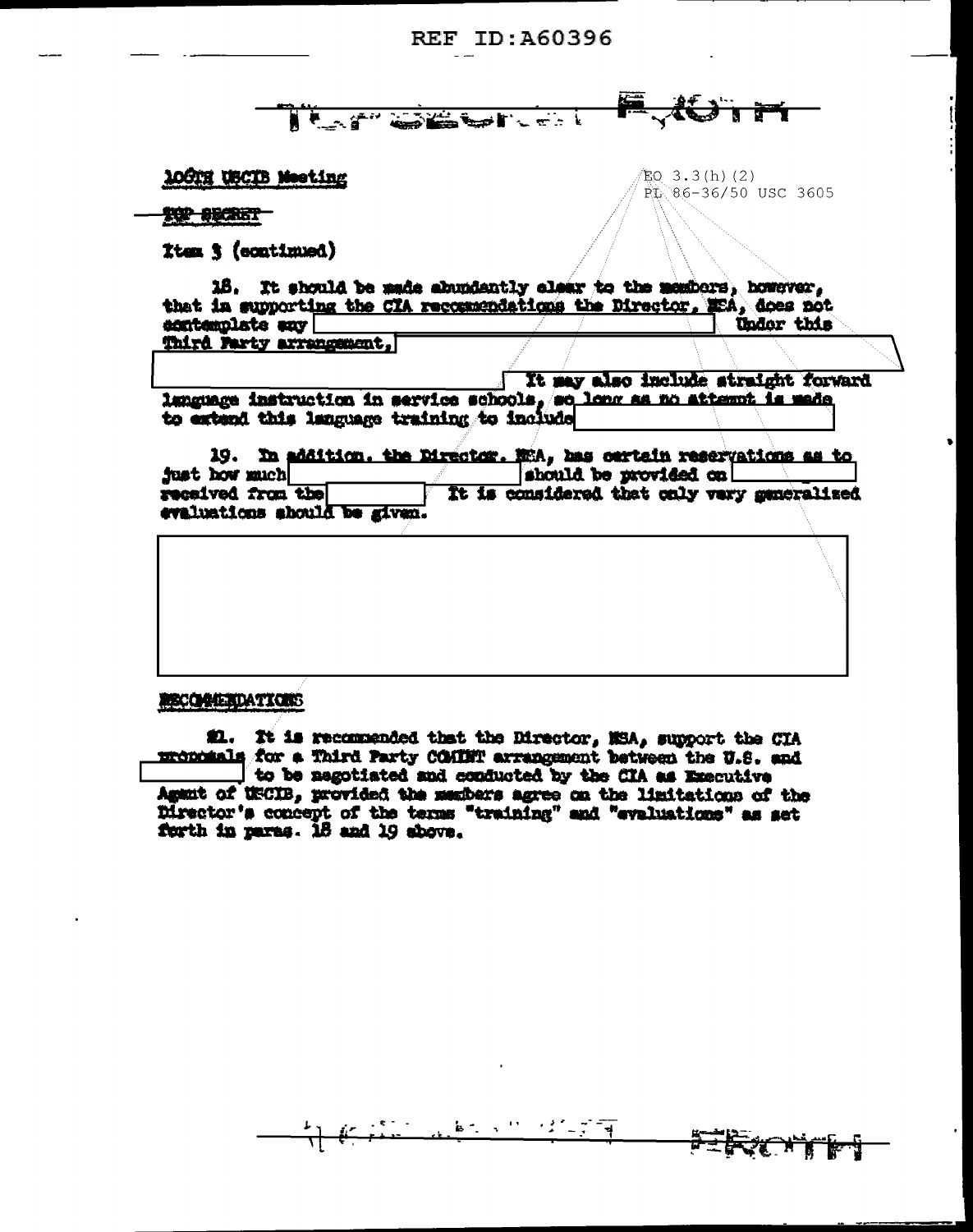<del>des</del> It of Company of

 $EQ$  3.3(h)(2)

PL 86-36/50 USC 3605

10CTH USCIB Meeting

TOP SECRET

Item 3 (continued)

16. It should be made abundantly elear to the members, however, that in supporting the CIA recommendations the Director, MEA, does not acntemplate any Under this Third Party arrangement.

It may also include straight forward language instruction in service schools, so long as no attempt is made to extend this language training to include

19. In addition, the Director. WiA, has cartain reservations as to just how much should be provided on received from the It is considered that only very generalized evaluations should be given.

**RECORDEDATIONS** 

#1. It is recommended that the Director, MSA, support the CIA monomals for a Third Party COMINT arrangement between the U.S. and to be negotiated and conducted by the CIA as Executive Agent of USCIB, provided the members agree on the limitations of the Director's concept of the terms "training" and "evaluations" as set forth in paras. 18 and 19 above.

 $\mathbf{k}$  ,  $\mathbf{r}$  ,  $\mathbf{r}$ 

 $\frac{1}{2}$   $\frac{1}{2}$   $\frac{1}{2}$   $\frac{1}{2}$   $\frac{1}{2}$ 

FIRT H